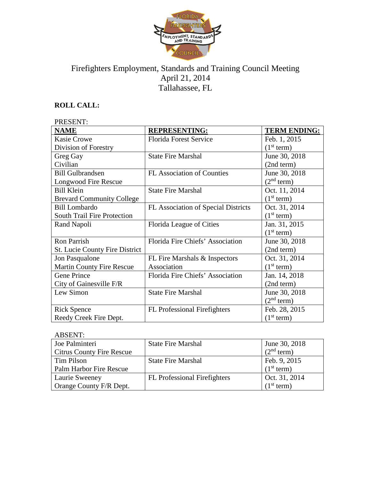

# Firefighters Employment, Standards and Training Council Meeting April 21, 2014 Tallahassee, FL

# **ROLL CALL:**

| PRESENT:                              |                                     |                        |  |
|---------------------------------------|-------------------------------------|------------------------|--|
| <b>NAME</b>                           | <b>REPRESENTING:</b>                | <b>TERM ENDING:</b>    |  |
| <b>Kasie Crowe</b>                    | <b>Florida Forest Service</b>       | Feb. 1, 2015           |  |
| Division of Forestry                  |                                     | (1 <sup>st</sup> term) |  |
| Greg Gay                              | <b>State Fire Marshal</b>           | June 30, 2018          |  |
| Civilian                              |                                     | (2nd term)             |  |
| <b>Bill Gulbrandsen</b>               | <b>FL Association of Counties</b>   | June 30, 2018          |  |
| Longwood Fire Rescue                  |                                     | (2 <sup>nd</sup> term) |  |
| <b>Bill Klein</b>                     | <b>State Fire Marshal</b>           | Oct. 11, 2014          |  |
| <b>Brevard Community College</b>      |                                     | (1 <sup>st</sup> term) |  |
| <b>Bill Lombardo</b>                  | FL Association of Special Districts | Oct. 31, 2014          |  |
| <b>South Trail Fire Protection</b>    |                                     | (1 <sup>st</sup> term) |  |
| Rand Napoli                           | Florida League of Cities            | Jan. 31, 2015          |  |
|                                       |                                     | (1 <sup>st</sup> term) |  |
| <b>Ron Parrish</b>                    | Florida Fire Chiefs' Association    | June 30, 2018          |  |
| <b>St. Lucie County Fire District</b> |                                     | (2nd term)             |  |
| Jon Pasqualone                        | FL Fire Marshals & Inspectors       | Oct. 31, 2014          |  |
| <b>Martin County Fire Rescue</b>      | Association                         | (1 <sup>st</sup> term) |  |
| Gene Prince                           | Florida Fire Chiefs' Association    | Jan. 14, 2018          |  |
| City of Gainesville F/R               |                                     | (2nd term)             |  |
| Lew Simon                             | <b>State Fire Marshal</b>           | June 30, 2018          |  |
|                                       |                                     | (2 <sup>nd</sup> term) |  |
| <b>Rick Spence</b>                    | <b>FL</b> Professional Firefighters | Feb. 28, 2015          |  |
| Reedy Creek Fire Dept.                |                                     | (1 <sup>st</sup> term) |  |

# ABSENT:

| Joe Palminteri                   | <b>State Fire Marshal</b>           | June 30, 2018          |
|----------------------------------|-------------------------------------|------------------------|
| <b>Citrus County Fire Rescue</b> |                                     | (2 <sup>nd</sup> term) |
| Tim Pilson                       | <b>State Fire Marshal</b>           | Feb. 9, 2015           |
| Palm Harbor Fire Rescue          |                                     | (1 <sup>st</sup> term) |
| Laurie Sweeney                   | <b>FL</b> Professional Firefighters | Oct. 31, 2014          |
| Orange County F/R Dept.          |                                     | (1 <sup>st</sup> term) |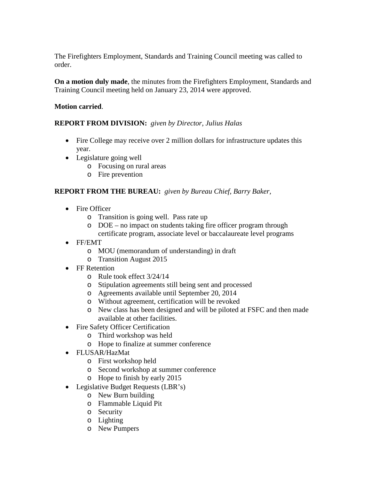The Firefighters Employment, Standards and Training Council meeting was called to order.

**On a motion duly made**, the minutes from the Firefighters Employment, Standards and Training Council meeting held on January 23, 2014 were approved.

## **Motion carried**.

## **REPORT FROM DIVISION:** *given by Director, Julius Halas*

- Fire College may receive over 2 million dollars for infrastructure updates this year.
- Legislature going well
	- o Focusing on rural areas
	- o Fire prevention

## **REPORT FROM THE BUREAU:** *given by Bureau Chief, Barry Baker,*

- Fire Officer
	- o Transition is going well. Pass rate up
	- o DOE no impact on students taking fire officer program through certificate program, associate level or baccalaureate level programs
- FF/EMT
	- o MOU (memorandum of understanding) in draft
	- o Transition August 2015
- FF Retention
	- o Rule took effect 3/24/14
	- o Stipulation agreements still being sent and processed
	- o Agreements available until September 20, 2014
	- o Without agreement, certification will be revoked
	- o New class has been designed and will be piloted at FSFC and then made available at other facilities.
- Fire Safety Officer Certification
	- o Third workshop was held
	- o Hope to finalize at summer conference
- FLUSAR/HazMat
	- o First workshop held
	- o Second workshop at summer conference
	- o Hope to finish by early 2015
- Legislative Budget Requests (LBR's)
	- o New Burn building
	- o Flammable Liquid Pit
	- o Security
	- o Lighting
	- o New Pumpers